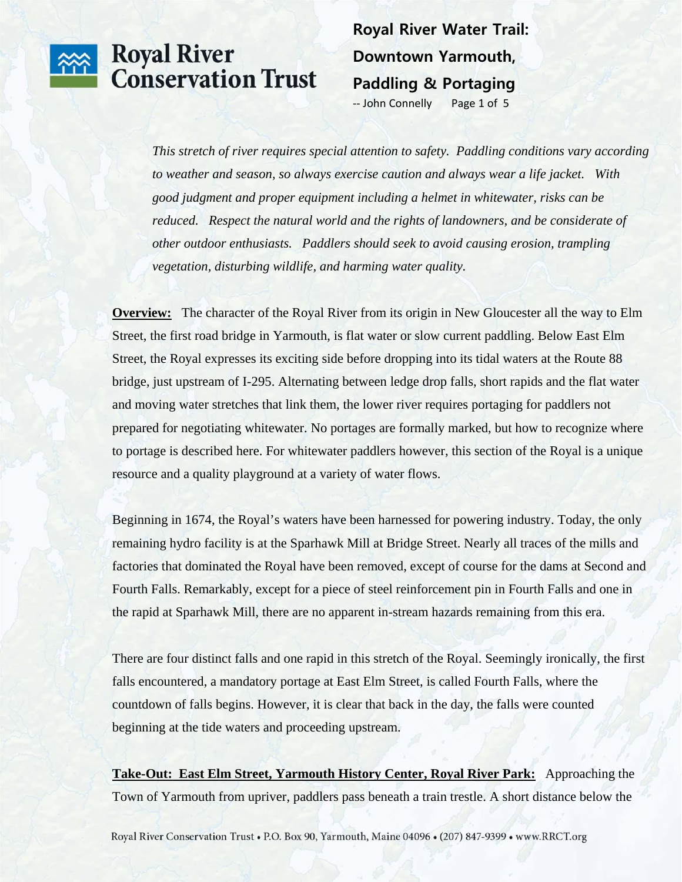**Royal River Water Trail: Downtown Yarmouth, Paddling & Portaging** 

‐‐ John Connelly Page 1 of 5

*This stretch of river requires special attention to safety. Paddling conditions vary according to weather and season, so always exercise caution and always wear a life jacket. With good judgment and proper equipment including a helmet in whitewater, risks can be reduced. Respect the natural world and the rights of landowners, and be considerate of other outdoor enthusiasts. Paddlers should seek to avoid causing erosion, trampling vegetation, disturbing wildlife, and harming water quality.* 

**Overview:** The character of the Royal River from its origin in New Gloucester all the way to Elm Street, the first road bridge in Yarmouth, is flat water or slow current paddling. Below East Elm Street, the Royal expresses its exciting side before dropping into its tidal waters at the Route 88 bridge, just upstream of I-295. Alternating between ledge drop falls, short rapids and the flat water and moving water stretches that link them, the lower river requires portaging for paddlers not prepared for negotiating whitewater. No portages are formally marked, but how to recognize where to portage is described here. For whitewater paddlers however, this section of the Royal is a unique resource and a quality playground at a variety of water flows.

Beginning in 1674, the Royal's waters have been harnessed for powering industry. Today, the only remaining hydro facility is at the Sparhawk Mill at Bridge Street. Nearly all traces of the mills and factories that dominated the Royal have been removed, except of course for the dams at Second and Fourth Falls. Remarkably, except for a piece of steel reinforcement pin in Fourth Falls and one in the rapid at Sparhawk Mill, there are no apparent in-stream hazards remaining from this era.

There are four distinct falls and one rapid in this stretch of the Royal. Seemingly ironically, the first falls encountered, a mandatory portage at East Elm Street, is called Fourth Falls, where the countdown of falls begins. However, it is clear that back in the day, the falls were counted beginning at the tide waters and proceeding upstream.

**Take-Out: East Elm Street, Yarmouth History Center, Royal River Park:** Approaching the Town of Yarmouth from upriver, paddlers pass beneath a train trestle. A short distance below the

Royal River Conservation Trust • P.O. Box 90, Yarmouth, Maine 04096 • (207) 847-9399 • www.RRCT.org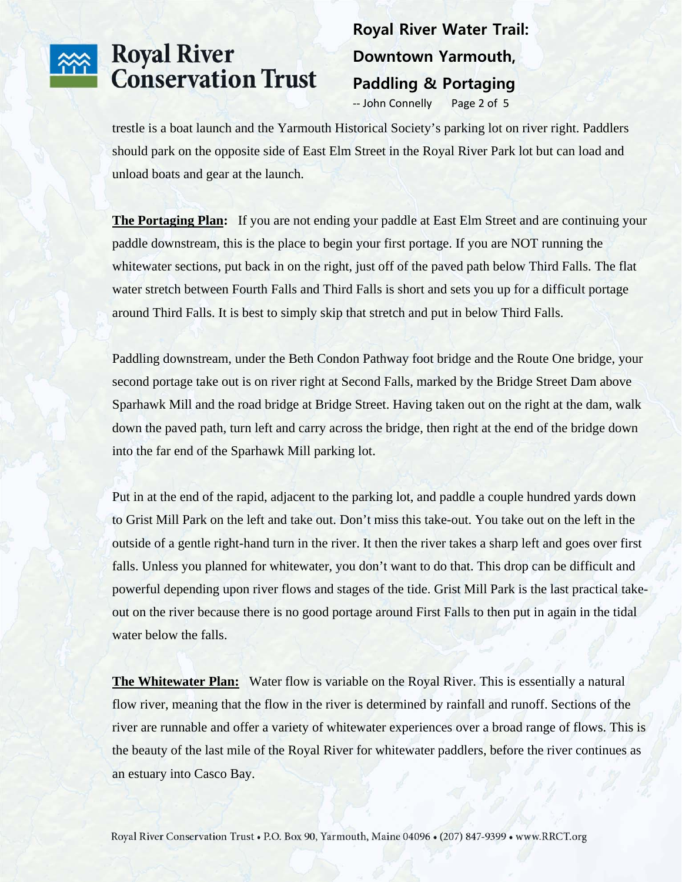### **Royal River Water Trail: Downtown Yarmouth, Paddling & Portaging**

-- John Connelly Page 2 of 5

trestle is a boat launch and the Yarmouth Historical Society's parking lot on river right. Paddlers should park on the opposite side of East Elm Street in the Royal River Park lot but can load and unload boats and gear at the launch.

**The Portaging Plan:** If you are not ending your paddle at East Elm Street and are continuing your paddle downstream, this is the place to begin your first portage. If you are NOT running the whitewater sections, put back in on the right, just off of the paved path below Third Falls. The flat water stretch between Fourth Falls and Third Falls is short and sets you up for a difficult portage around Third Falls. It is best to simply skip that stretch and put in below Third Falls.

Paddling downstream, under the Beth Condon Pathway foot bridge and the Route One bridge, your second portage take out is on river right at Second Falls, marked by the Bridge Street Dam above Sparhawk Mill and the road bridge at Bridge Street. Having taken out on the right at the dam, walk down the paved path, turn left and carry across the bridge, then right at the end of the bridge down into the far end of the Sparhawk Mill parking lot.

Put in at the end of the rapid, adjacent to the parking lot, and paddle a couple hundred yards down to Grist Mill Park on the left and take out. Don't miss this take-out. You take out on the left in the outside of a gentle right-hand turn in the river. It then the river takes a sharp left and goes over first falls. Unless you planned for whitewater, you don't want to do that. This drop can be difficult and powerful depending upon river flows and stages of the tide. Grist Mill Park is the last practical takeout on the river because there is no good portage around First Falls to then put in again in the tidal water below the falls.

**The Whitewater Plan:** Water flow is variable on the Royal River. This is essentially a natural flow river, meaning that the flow in the river is determined by rainfall and runoff. Sections of the river are runnable and offer a variety of whitewater experiences over a broad range of flows. This is the beauty of the last mile of the Royal River for whitewater paddlers, before the river continues as an estuary into Casco Bay.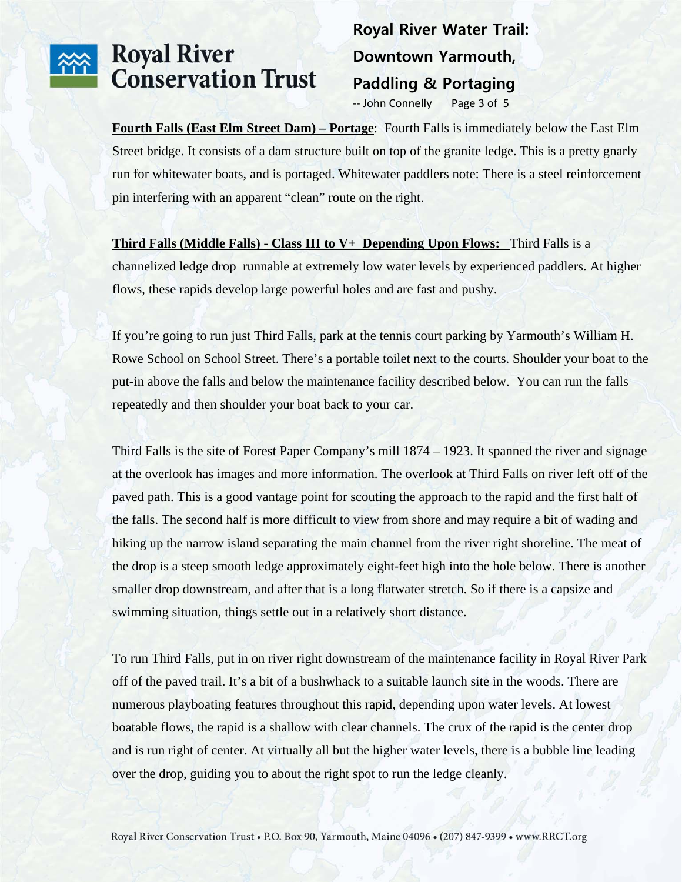#### **Royal River Water Trail: Downtown Yarmouth, Paddling & Portaging**

-- John Connelly Page 3 of 5

**Fourth Falls (East Elm Street Dam) – Portage**: Fourth Falls is immediately below the East Elm Street bridge. It consists of a dam structure built on top of the granite ledge. This is a pretty gnarly run for whitewater boats, and is portaged. Whitewater paddlers note: There is a steel reinforcement pin interfering with an apparent "clean" route on the right.

**Third Falls (Middle Falls) - Class III to V+ Depending Upon Flows:** Third Falls is a channelized ledge drop runnable at extremely low water levels by experienced paddlers. At higher flows, these rapids develop large powerful holes and are fast and pushy.

If you're going to run just Third Falls, park at the tennis court parking by Yarmouth's William H. Rowe School on School Street. There's a portable toilet next to the courts. Shoulder your boat to the put-in above the falls and below the maintenance facility described below. You can run the falls repeatedly and then shoulder your boat back to your car.

Third Falls is the site of Forest Paper Company's mill 1874 – 1923. It spanned the river and signage at the overlook has images and more information. The overlook at Third Falls on river left off of the paved path. This is a good vantage point for scouting the approach to the rapid and the first half of the falls. The second half is more difficult to view from shore and may require a bit of wading and hiking up the narrow island separating the main channel from the river right shoreline. The meat of the drop is a steep smooth ledge approximately eight-feet high into the hole below. There is another smaller drop downstream, and after that is a long flatwater stretch. So if there is a capsize and swimming situation, things settle out in a relatively short distance.

To run Third Falls, put in on river right downstream of the maintenance facility in Royal River Park off of the paved trail. It's a bit of a bushwhack to a suitable launch site in the woods. There are numerous playboating features throughout this rapid, depending upon water levels. At lowest boatable flows, the rapid is a shallow with clear channels. The crux of the rapid is the center drop and is run right of center. At virtually all but the higher water levels, there is a bubble line leading over the drop, guiding you to about the right spot to run the ledge cleanly.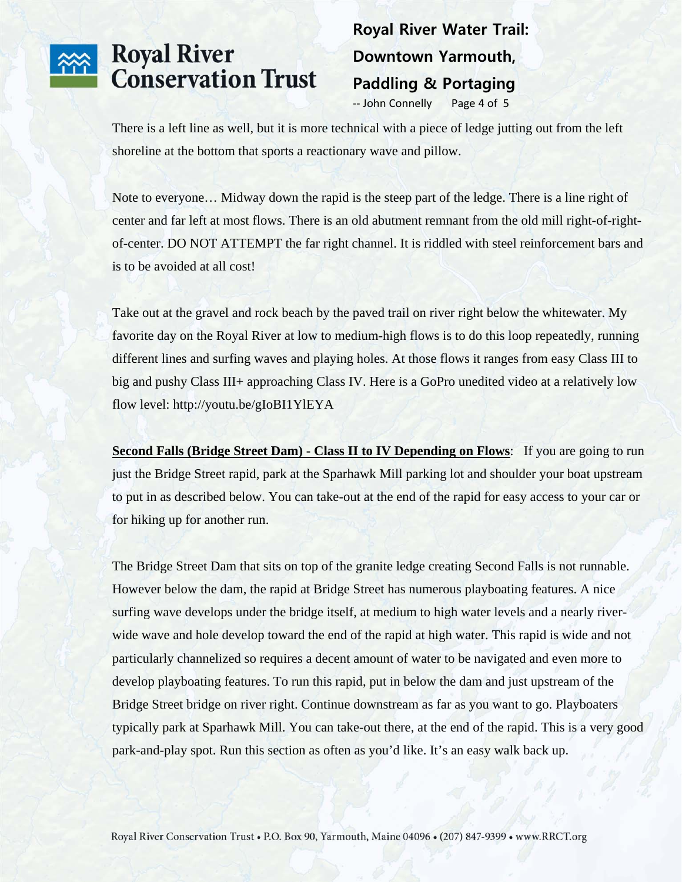#### **Royal River Water Trail: Downtown Yarmouth, Paddling & Portaging**

-- John Connelly Page 4 of 5

There is a left line as well, but it is more technical with a piece of ledge jutting out from the left shoreline at the bottom that sports a reactionary wave and pillow.

Note to everyone… Midway down the rapid is the steep part of the ledge. There is a line right of center and far left at most flows. There is an old abutment remnant from the old mill right-of-rightof-center. DO NOT ATTEMPT the far right channel. It is riddled with steel reinforcement bars and is to be avoided at all cost!

Take out at the gravel and rock beach by the paved trail on river right below the whitewater. My favorite day on the Royal River at low to medium-high flows is to do this loop repeatedly, running different lines and surfing waves and playing holes. At those flows it ranges from easy Class III to big and pushy Class III+ approaching Class IV. Here is a GoPro unedited video at a relatively low flow level: http://youtu.be/gIoBI1YlEYA

**Second Falls (Bridge Street Dam) - Class II to IV Depending on Flows:** If you are going to run just the Bridge Street rapid, park at the Sparhawk Mill parking lot and shoulder your boat upstream to put in as described below. You can take-out at the end of the rapid for easy access to your car or for hiking up for another run.

The Bridge Street Dam that sits on top of the granite ledge creating Second Falls is not runnable. However below the dam, the rapid at Bridge Street has numerous playboating features. A nice surfing wave develops under the bridge itself, at medium to high water levels and a nearly riverwide wave and hole develop toward the end of the rapid at high water. This rapid is wide and not particularly channelized so requires a decent amount of water to be navigated and even more to develop playboating features. To run this rapid, put in below the dam and just upstream of the Bridge Street bridge on river right. Continue downstream as far as you want to go. Playboaters typically park at Sparhawk Mill. You can take-out there, at the end of the rapid. This is a very good park-and-play spot. Run this section as often as you'd like. It's an easy walk back up.